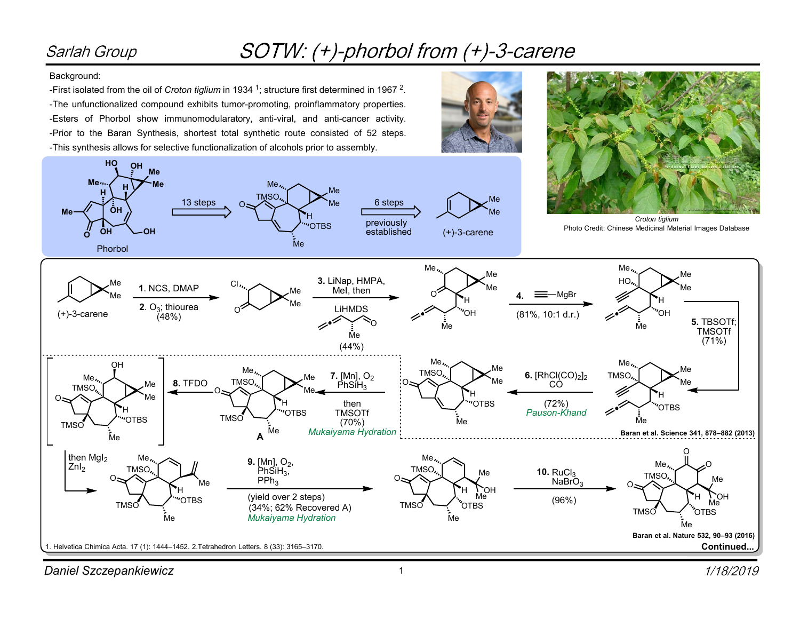## Sarlah Group

## SOTW: (+)-phorbol from (+)-3-carene

## Background:

-First isolated from the oil of Croton tiglium in 1934 <sup>1</sup>; structure first determined in 1967 <sup>2</sup>. -The unfunctionalized compound exhibits tumor-promoting, proinflammatory properties. -Esters of Phorbol show immunomodularatory, anti-viral, and anti-cancer activity. -Prior to the Baran Synthesis, shortest total synthetic route consisted of 52 steps. -This synthesis allows for selective functionalization of alcohols prior to assembly.



Daniel Szczepankiewicz 1999 and 1999 and 1999 and 1999 and 1999 and 1999 and 1999 and 1999 and 1999 and 1999 and 1999 and 1999 and 1999 and 1999 and 1999 and 1999 and 1999 and 1999 and 1999 and 1999 and 1999 and 1999 and 1